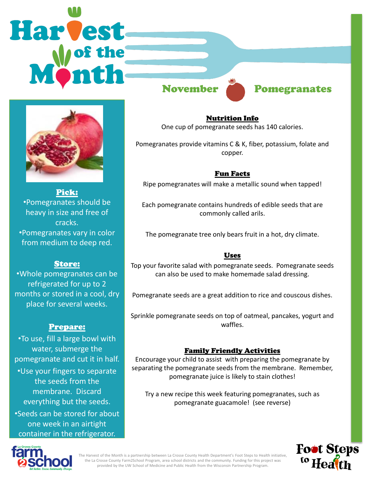# **Harvest**



Pick: •Pomegranates should be heavy in size and free of cracks. •Pomegranates vary in color from medium to deep red.

### Store:

•Whole pomegranates can be refrigerated for up to 2 months or stored in a cool, dry place for several weeks.

## Prepare:

•To use, fill a large bowl with water, submerge the pomegranate and cut it in half. •Use your fingers to separate the seeds from the membrane. Discard everything but the seeds. •Seeds can be stored for about one week in an airtight container in the refrigerator.

# November Pomegranates

Nutrition Info One cup of pomegranate seeds has 140 calories.

Pomegranates provide vitamins C & K, fiber, potassium, folate and copper.

### Fun Facts

Ripe pomegranates will make a metallic sound when tapped!

Each pomegranate contains hundreds of edible seeds that are commonly called arils.

The pomegranate tree only bears fruit in a hot, dry climate.

### Uses

Top your favorite salad with pomegranate seeds. Pomegranate seeds can also be used to make homemade salad dressing.

Pomegranate seeds are a great addition to rice and couscous dishes.

Sprinkle pomegranate seeds on top of oatmeal, pancakes, yogurt and waffles.

### Family Friendly Activities

Encourage your child to assist with preparing the pomegranate by separating the pomegranate seeds from the membrane. Remember, pomegranate juice is likely to stain clothes!

Try a new recipe this week featuring pomegranates, such as pomegranate guacamole! (see reverse)